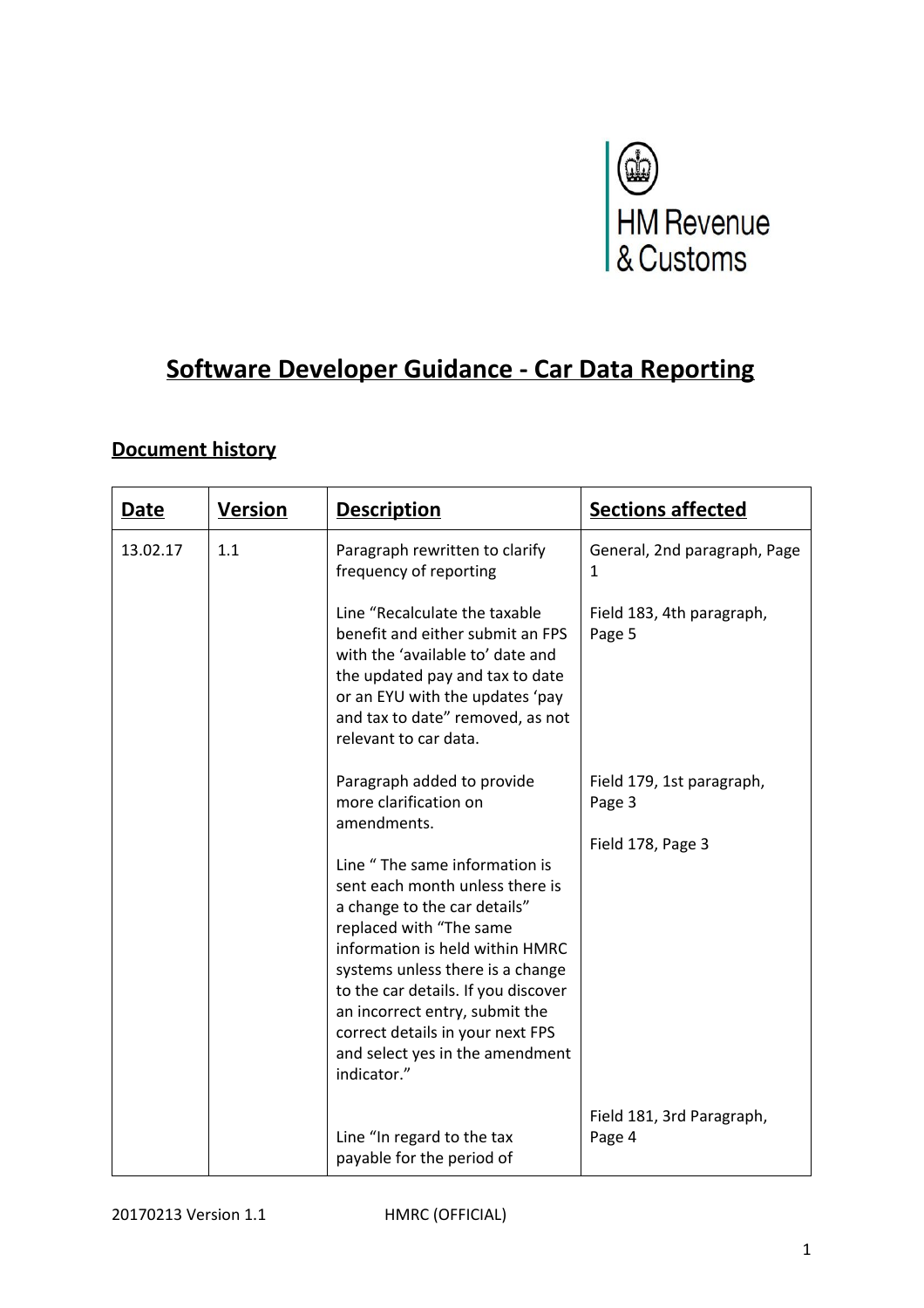

# **Software Developer Guidance - Car Data Reporting**

## **Document history**

| <b>Date</b> | <b>Version</b> | <b>Description</b>                                                                                                                                                                                                                                                                                                                                                 | <b>Sections affected</b>            |
|-------------|----------------|--------------------------------------------------------------------------------------------------------------------------------------------------------------------------------------------------------------------------------------------------------------------------------------------------------------------------------------------------------------------|-------------------------------------|
| 13.02.17    | 1.1            | Paragraph rewritten to clarify<br>frequency of reporting                                                                                                                                                                                                                                                                                                           | General, 2nd paragraph, Page<br>1   |
|             |                | Line "Recalculate the taxable<br>benefit and either submit an FPS<br>with the 'available to' date and<br>the updated pay and tax to date<br>or an EYU with the updates 'pay<br>and tax to date" removed, as not<br>relevant to car data.                                                                                                                           | Field 183, 4th paragraph,<br>Page 5 |
|             |                | Paragraph added to provide<br>more clarification on<br>amendments.                                                                                                                                                                                                                                                                                                 | Field 179, 1st paragraph,<br>Page 3 |
|             |                | Line " The same information is<br>sent each month unless there is<br>a change to the car details"<br>replaced with "The same<br>information is held within HMRC<br>systems unless there is a change<br>to the car details. If you discover<br>an incorrect entry, submit the<br>correct details in your next FPS<br>and select yes in the amendment<br>indicator." | Field 178, Page 3                   |
|             |                | Line "In regard to the tax<br>payable for the period of                                                                                                                                                                                                                                                                                                            | Field 181, 3rd Paragraph,<br>Page 4 |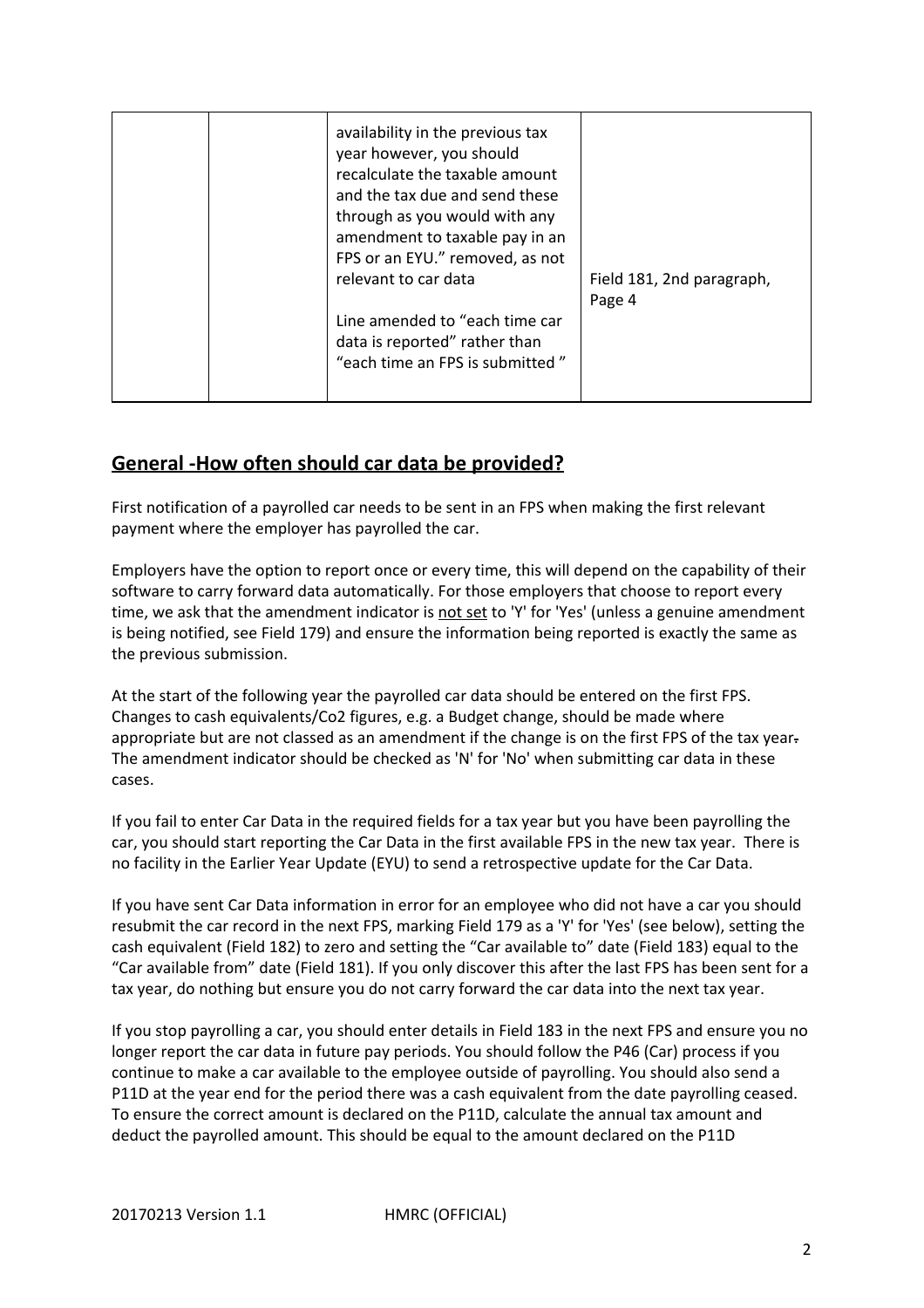|  | availability in the previous tax<br>year however, you should<br>recalculate the taxable amount<br>and the tax due and send these<br>through as you would with any<br>amendment to taxable pay in an<br>FPS or an EYU." removed, as not<br>relevant to car data<br>Line amended to "each time car<br>data is reported" rather than<br>"each time an FPS is submitted" | Field 181, 2nd paragraph,<br>Page 4 |
|--|----------------------------------------------------------------------------------------------------------------------------------------------------------------------------------------------------------------------------------------------------------------------------------------------------------------------------------------------------------------------|-------------------------------------|
|--|----------------------------------------------------------------------------------------------------------------------------------------------------------------------------------------------------------------------------------------------------------------------------------------------------------------------------------------------------------------------|-------------------------------------|

### **General -How often should car data be provided?**

First notification of a payrolled car needs to be sent in an FPS when making the first relevant payment where the employer has payrolled the car.

Employers have the option to report once or every time, this will depend on the capability of their software to carry forward data automatically. For those employers that choose to report every time, we ask that the amendment indicator is not set to 'Y' for 'Yes' (unless a genuine amendment is being notified, see Field 179) and ensure the information being reported is exactly the same as the previous submission.

At the start of the following year the payrolled car data should be entered on the first FPS. Changes to cash equivalents/Co2 figures, e.g. a Budget change, should be made where appropriate but are not classed as an amendment if the change is on the first FPS of the tax year-The amendment indicator should be checked as 'N' for 'No' when submitting car data in these cases.

If you fail to enter Car Data in the required fields for a tax year but you have been payrolling the car, you should start reporting the Car Data in the first available FPS in the new tax year. There is no facility in the Earlier Year Update (EYU) to send a retrospective update for the Car Data.

If you have sent Car Data information in error for an employee who did not have a car you should resubmit the car record in the next FPS, marking Field 179 as a 'Y' for 'Yes' (see below), setting the cash equivalent (Field 182) to zero and setting the "Car available to" date (Field 183) equal to the "Car available from" date (Field 181). If you only discover this after the last FPS has been sent for a tax year, do nothing but ensure you do not carry forward the car data into the next tax year.

If you stop payrolling a car, you should enter details in Field 183 in the next FPS and ensure you no longer report the car data in future pay periods. You should follow the P46 (Car) process if you continue to make a car available to the employee outside of payrolling. You should also send a P11D at the year end for the period there was a cash equivalent from the date payrolling ceased. To ensure the correct amount is declared on the P11D, calculate the annual tax amount and deduct the payrolled amount. This should be equal to the amount declared on the P11D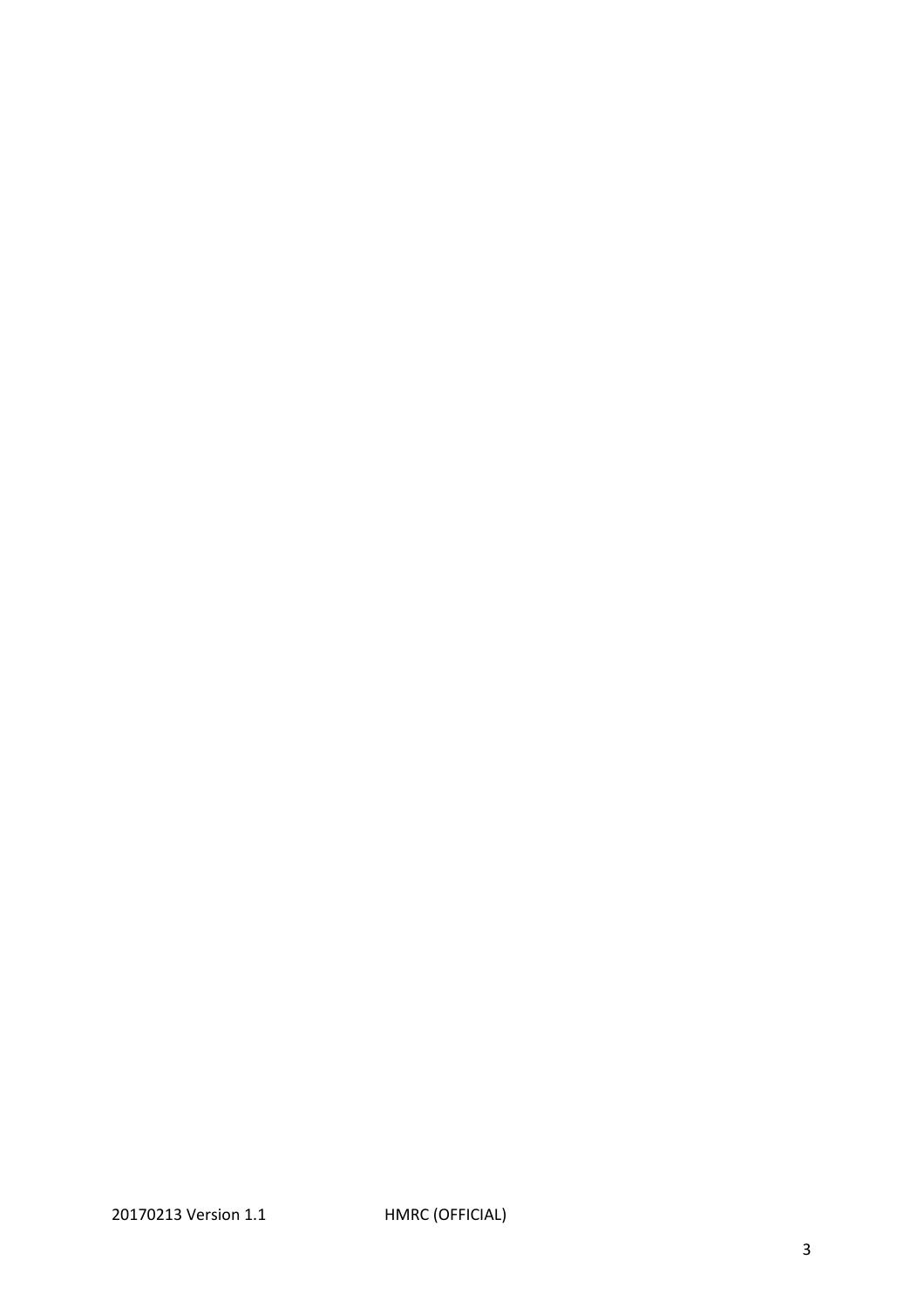20170213 Version 1.1 HMRC (OFFICIAL)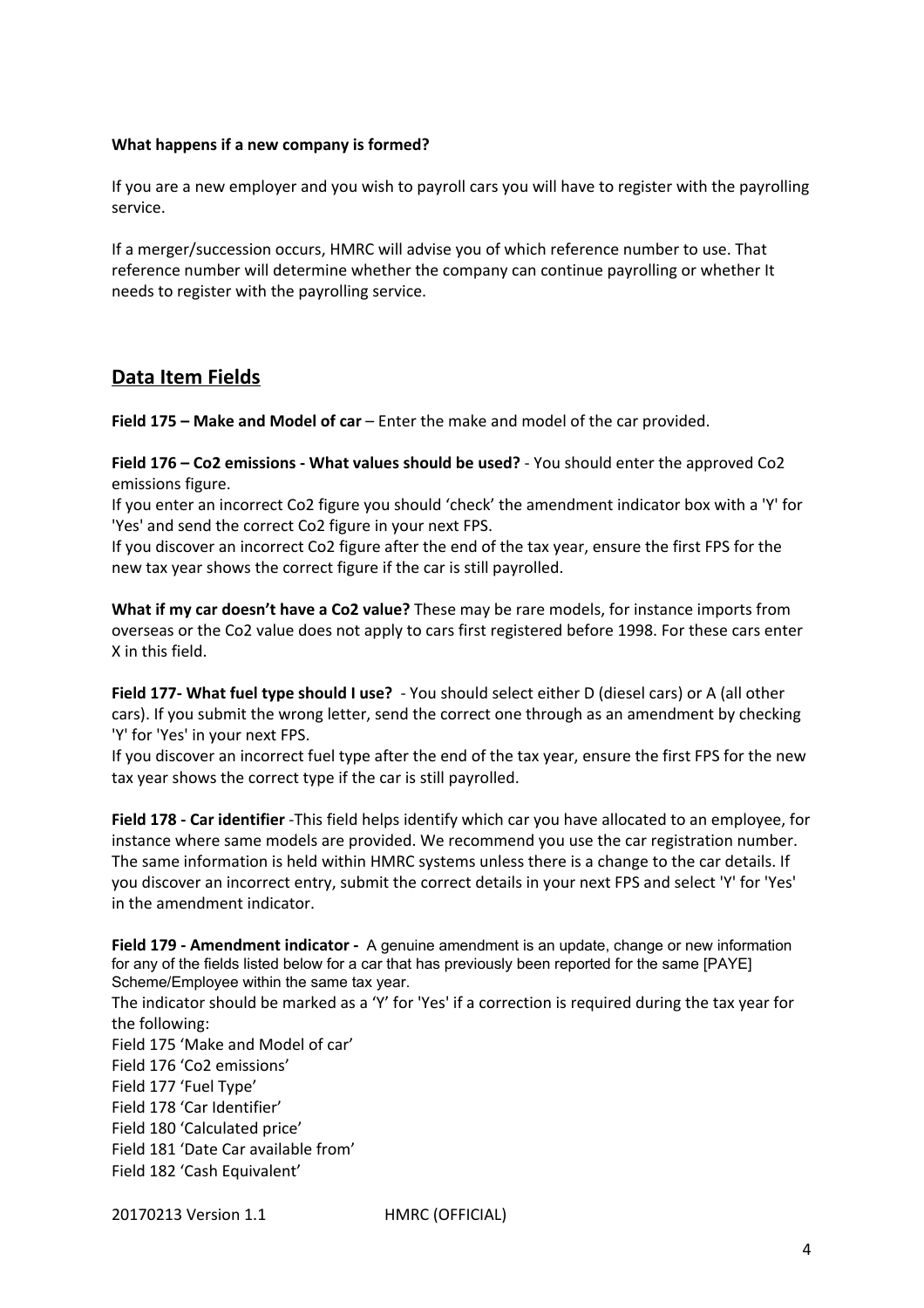#### **What happens if a new company is formed?**

If you are a new employer and you wish to payroll cars you will have to register with the payrolling service.

If a merger/succession occurs, HMRC will advise you of which reference number to use. That reference number will determine whether the company can continue payrolling or whether It needs to register with the payrolling service.

#### **Data Item Fields**

**Field 175 – Make and Model of car** – Enter the make and model of the car provided.

**Field 176 – Co2 emissions - What values should be used?** - You should enter the approved Co2 emissions figure.

If you enter an incorrect Co2 figure you should 'check' the amendment indicator box with a 'Y' for 'Yes' and send the correct Co2 figure in your next FPS.

If you discover an incorrect Co2 figure after the end of the tax year, ensure the first FPS for the new tax year shows the correct figure if the car is still payrolled.

**What if my car doesn't have a Co2 value?** These may be rare models, for instance imports from overseas or the Co2 value does not apply to cars first registered before 1998. For these cars enter X in this field.

**Field 177- What fuel type should I use?** - You should select either D (diesel cars) or A (all other cars). If you submit the wrong letter, send the correct one through as an amendment by checking 'Y' for 'Yes' in your next FPS.

If you discover an incorrect fuel type after the end of the tax year, ensure the first FPS for the new tax year shows the correct type if the car is still payrolled.

**Field 178 - Car identifier** -This field helps identify which car you have allocated to an employee, for instance where same models are provided. We recommend you use the car registration number. The same information is held within HMRC systems unless there is a change to the car details. If you discover an incorrect entry, submit the correct details in your next FPS and select 'Y' for 'Yes' in the amendment indicator.

**Field 179 - Amendment indicator -** A genuine amendment is an update, change or new information for any of the fields listed below for a car that has previously been reported for the same [PAYE] Scheme/Employee within the same tax year.

The indicator should be marked as a 'Y' for 'Yes' if a correction is required during the tax year for the following:

Field 175 'Make and Model of car' Field 176 'Co2 emissions' Field 177 'Fuel Type' Field 178 'Car Identifier' Field 180 'Calculated price' Field 181 'Date Car available from' Field 182 'Cash Equivalent'

20170213 Version 1.1 HMRC (OFFICIAL)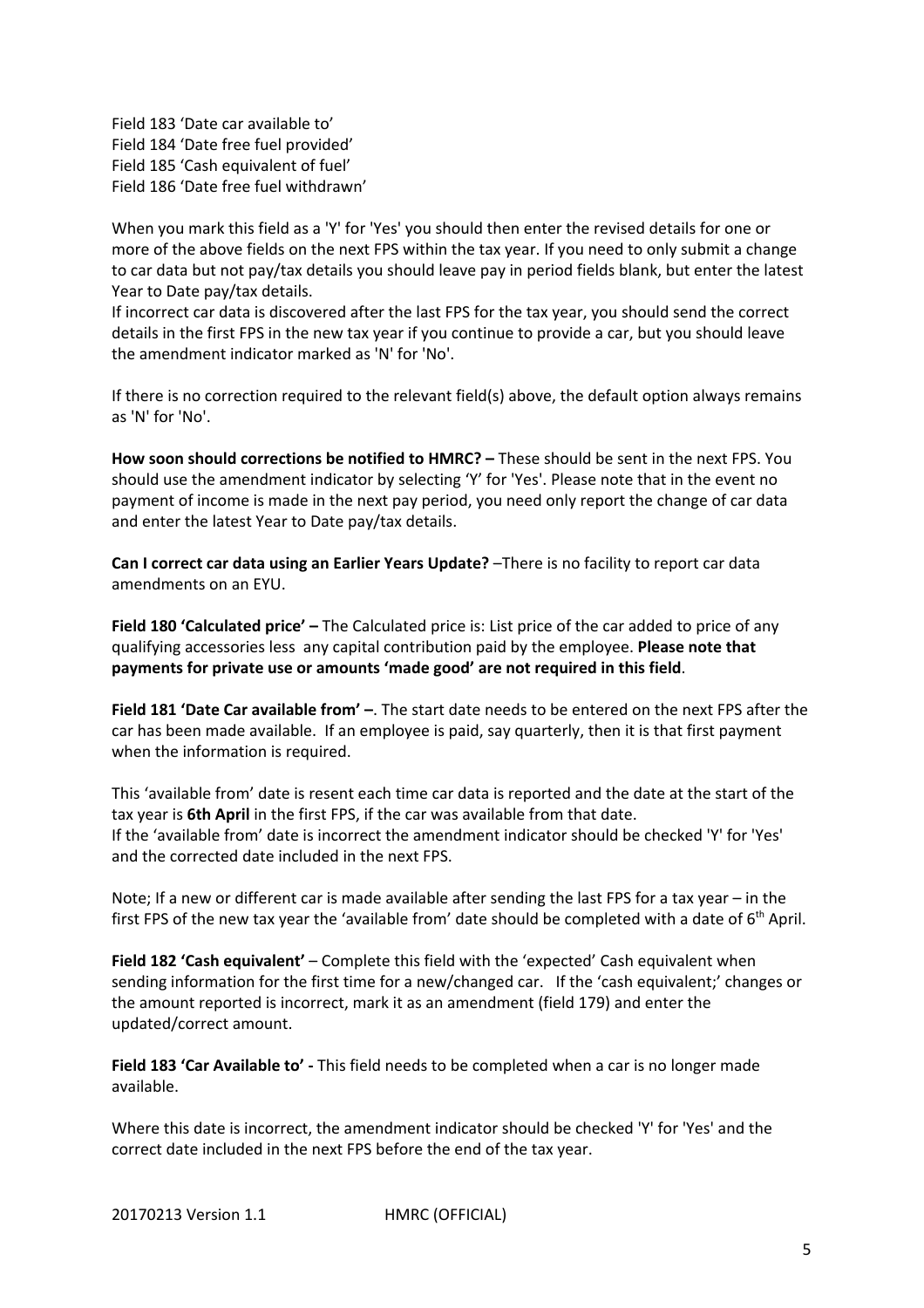Field 183 'Date car available to' Field 184 'Date free fuel provided' Field 185 'Cash equivalent of fuel' Field 186 'Date free fuel withdrawn'

When you mark this field as a 'Y' for 'Yes' you should then enter the revised details for one or more of the above fields on the next FPS within the tax year. If you need to only submit a change to car data but not pay/tax details you should leave pay in period fields blank, but enter the latest Year to Date pay/tax details.

If incorrect car data is discovered after the last FPS for the tax year, you should send the correct details in the first FPS in the new tax year if you continue to provide a car, but you should leave the amendment indicator marked as 'N' for 'No'.

If there is no correction required to the relevant field(s) above, the default option always remains as 'N' for 'No'.

**How soon should corrections be notified to HMRC? –** These should be sent in the next FPS. You should use the amendment indicator by selecting 'Y' for 'Yes'. Please note that in the event no payment of income is made in the next pay period, you need only report the change of car data and enter the latest Year to Date pay/tax details.

**Can I correct car data using an Earlier Years Update?** –There is no facility to report car data amendments on an EYU.

**Field 180 'Calculated price' –** The Calculated price is: List price of the car added to price of any qualifying accessories less any capital contribution paid by the employee. **Please note that payments for private use or amounts 'made good' are not required in this field**.

**Field 181 'Date Car available from' –**. The start date needs to be entered on the next FPS after the car has been made available. If an employee is paid, say quarterly, then it is that first payment when the information is required.

This 'available from' date is resent each time car data is reported and the date at the start of the tax year is **6th April** in the first FPS, if the car was available from that date. If the 'available from' date is incorrect the amendment indicator should be checked 'Y' for 'Yes' and the corrected date included in the next FPS.

Note; If a new or different car is made available after sending the last FPS for a tax year – in the first FPS of the new tax year the 'available from' date should be completed with a date of  $6<sup>th</sup>$  April.

**Field 182 'Cash equivalent'** – Complete this field with the 'expected' Cash equivalent when sending information for the first time for a new/changed car. If the 'cash equivalent;' changes or the amount reported is incorrect, mark it as an amendment (field 179) and enter the updated/correct amount.

**Field 183 'Car Available to' -** This field needs to be completed when a car is no longer made available.

Where this date is incorrect, the amendment indicator should be checked 'Y' for 'Yes' and the correct date included in the next FPS before the end of the tax year.

20170213 Version 1.1 HMRC (OFFICIAL)